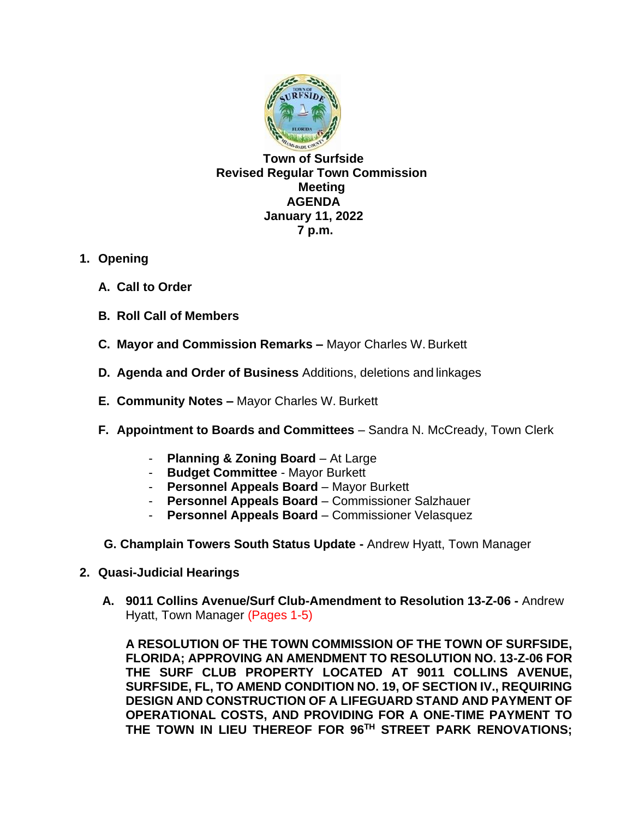

**Town of Surfside Revised Regular Town Commission Meeting AGENDA January 11, 2022 7 p.m.**

- **1. Opening**
	- **A. Call to Order**
	- **B. Roll Call of Members**
	- **C. Mayor and Commission Remarks –** Mayor Charles W. Burkett
	- **D. Agenda and Order of Business** Additions, deletions and linkages
	- **E. Community Notes –** Mayor Charles W. Burkett
	- **F. Appointment to Boards and Committees** Sandra N. McCready, Town Clerk
		- **Planning & Zoning Board** At Large
		- **Budget Committee**  Mayor Burkett
		- **Personnel Appeals Board** Mayor Burkett
		- **Personnel Appeals Board** Commissioner Salzhauer
		- **Personnel Appeals Board** Commissioner Velasquez
	- **G. Champlain Towers South Status Update -** Andrew Hyatt, Town Manager
- **2. Quasi-Judicial Hearings** 
	- **A. 9011 Collins Avenue/Surf Club-Amendment to Resolution 13-Z-06 -** Andrew Hyatt, Town Manager (Pages 1-5)

**A RESOLUTION OF THE TOWN COMMISSION OF THE TOWN OF SURFSIDE, FLORIDA; APPROVING AN AMENDMENT TO RESOLUTION NO. 13-Z-06 FOR THE SURF CLUB PROPERTY LOCATED AT 9011 COLLINS AVENUE, SURFSIDE, FL, TO AMEND CONDITION NO. 19, OF SECTION IV., REQUIRING DESIGN AND CONSTRUCTION OF A LIFEGUARD STAND AND PAYMENT OF OPERATIONAL COSTS, AND PROVIDING FOR A ONE-TIME PAYMENT TO THE TOWN IN LIEU THEREOF FOR 96TH STREET PARK RENOVATIONS;**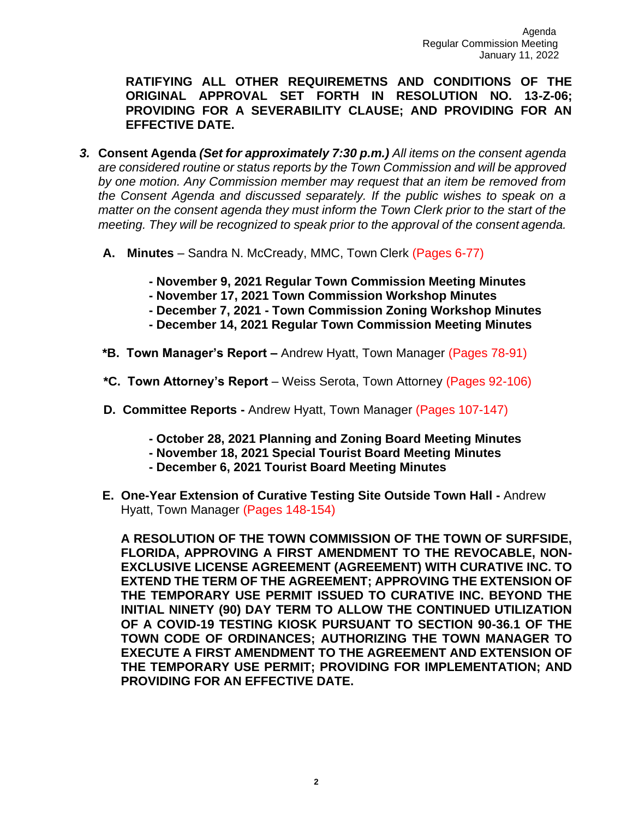**RATIFYING ALL OTHER REQUIREMETNS AND CONDITIONS OF THE ORIGINAL APPROVAL SET FORTH IN RESOLUTION NO. 13-Z-06; PROVIDING FOR A SEVERABILITY CLAUSE; AND PROVIDING FOR AN EFFECTIVE DATE.**

- *3.* **Consent Agenda** *(Set for approximately 7:30 p.m.) All items on the consent agenda are considered routine or status reports by the Town Commission and will be approved by one motion. Any Commission member may request that an item be removed from*  the Consent Agenda and discussed separately. If the public wishes to speak on a *matter on the consent agenda they must inform the Town Clerk prior to the start of the meeting. They will be recognized to speak prior to the approval of the consent agenda.*
	- **A. Minutes**  Sandra N. McCready, MMC, Town Clerk (Pages 6-77)
		- **- November 9, 2021 Regular Town Commission Meeting Minutes**
		- **- November 17, 2021 Town Commission Workshop Minutes**
		- **- December 7, 2021 - Town Commission Zoning Workshop Minutes**
		- **- December 14, 2021 Regular Town Commission Meeting Minutes**
	- **\*B. Town Manager's Report –** Andrew Hyatt, Town Manager (Pages 78-91)
	- **\*C. Town Attorney's Report**  Weiss Serota, Town Attorney (Pages 92-106)
	- **D. Committee Reports -** Andrew Hyatt, Town Manager (Pages 107-147)
		- **- October 28, 2021 Planning and Zoning Board Meeting Minutes**
		- **- November 18, 2021 Special Tourist Board Meeting Minutes**
		- **- December 6, 2021 Tourist Board Meeting Minutes**
	- **E. One-Year Extension of Curative Testing Site Outside Town Hall -** Andrew Hyatt, Town Manager (Pages 148-154)

**A RESOLUTION OF THE TOWN COMMISSION OF THE TOWN OF SURFSIDE, FLORIDA, APPROVING A FIRST AMENDMENT TO THE REVOCABLE, NON-EXCLUSIVE LICENSE AGREEMENT (AGREEMENT) WITH CURATIVE INC. TO EXTEND THE TERM OF THE AGREEMENT; APPROVING THE EXTENSION OF THE TEMPORARY USE PERMIT ISSUED TO CURATIVE INC. BEYOND THE INITIAL NINETY (90) DAY TERM TO ALLOW THE CONTINUED UTILIZATION OF A COVID-19 TESTING KIOSK PURSUANT TO SECTION 90-36.1 OF THE TOWN CODE OF ORDINANCES; AUTHORIZING THE TOWN MANAGER TO EXECUTE A FIRST AMENDMENT TO THE AGREEMENT AND EXTENSION OF THE TEMPORARY USE PERMIT; PROVIDING FOR IMPLEMENTATION; AND PROVIDING FOR AN EFFECTIVE DATE.**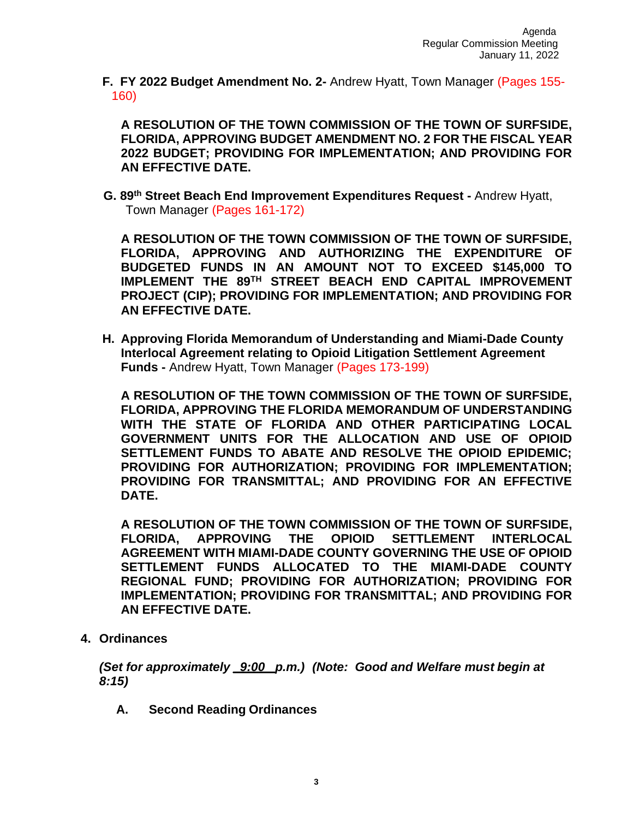**F. FY 2022 Budget Amendment No. 2-** Andrew Hyatt, Town Manager (Pages 155- 160)

**A RESOLUTION OF THE TOWN COMMISSION OF THE TOWN OF SURFSIDE, FLORIDA, APPROVING BUDGET AMENDMENT NO. 2 FOR THE FISCAL YEAR 2022 BUDGET; PROVIDING FOR IMPLEMENTATION; AND PROVIDING FOR AN EFFECTIVE DATE.**

**G. 89th Street Beach End Improvement Expenditures Request -** Andrew Hyatt, Town Manager (Pages 161-172)

**A RESOLUTION OF THE TOWN COMMISSION OF THE TOWN OF SURFSIDE, FLORIDA, APPROVING AND AUTHORIZING THE EXPENDITURE OF BUDGETED FUNDS IN AN AMOUNT NOT TO EXCEED \$145,000 TO IMPLEMENT THE 89TH STREET BEACH END CAPITAL IMPROVEMENT PROJECT (CIP); PROVIDING FOR IMPLEMENTATION; AND PROVIDING FOR AN EFFECTIVE DATE.**

**H. Approving Florida Memorandum of Understanding and Miami-Dade County Interlocal Agreement relating to Opioid Litigation Settlement Agreement Funds -** Andrew Hyatt, Town Manager (Pages 173-199)

**A RESOLUTION OF THE TOWN COMMISSION OF THE TOWN OF SURFSIDE, FLORIDA, APPROVING THE FLORIDA MEMORANDUM OF UNDERSTANDING WITH THE STATE OF FLORIDA AND OTHER PARTICIPATING LOCAL GOVERNMENT UNITS FOR THE ALLOCATION AND USE OF OPIOID SETTLEMENT FUNDS TO ABATE AND RESOLVE THE OPIOID EPIDEMIC; PROVIDING FOR AUTHORIZATION; PROVIDING FOR IMPLEMENTATION; PROVIDING FOR TRANSMITTAL; AND PROVIDING FOR AN EFFECTIVE DATE.**

**A RESOLUTION OF THE TOWN COMMISSION OF THE TOWN OF SURFSIDE, FLORIDA, APPROVING THE OPIOID SETTLEMENT INTERLOCAL AGREEMENT WITH MIAMI-DADE COUNTY GOVERNING THE USE OF OPIOID SETTLEMENT FUNDS ALLOCATED TO THE MIAMI-DADE COUNTY REGIONAL FUND; PROVIDING FOR AUTHORIZATION; PROVIDING FOR IMPLEMENTATION; PROVIDING FOR TRANSMITTAL; AND PROVIDING FOR AN EFFECTIVE DATE.**

**4. Ordinances**

*(Set for approximately \_9:00\_ p.m.) (Note: Good and Welfare must begin at 8:15)*

**A. Second Reading Ordinances**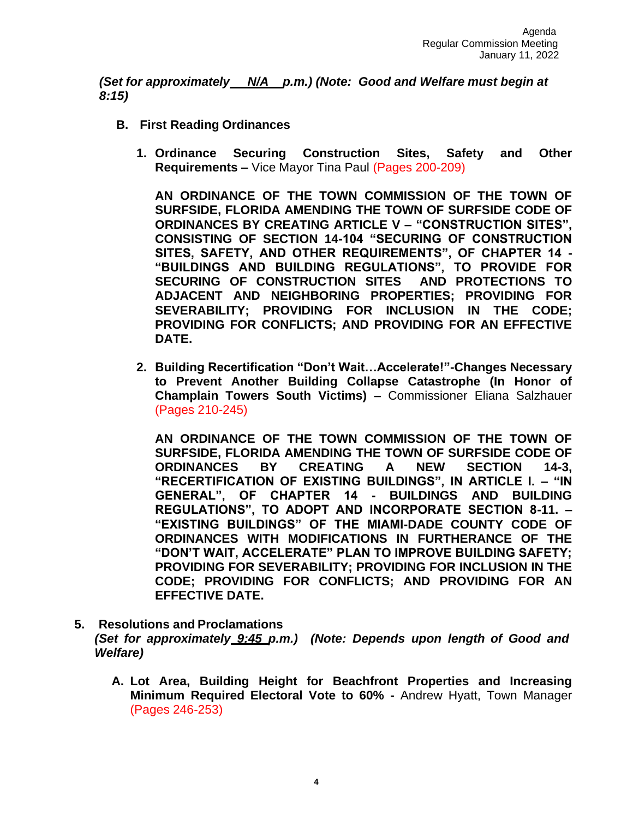*(Set for approximately N/A p.m.) (Note: Good and Welfare must begin at 8:15)*

- **B. First Reading Ordinances**
	- **1. Ordinance Securing Construction Sites, Safety and Other Requirements –** Vice Mayor Tina Paul (Pages 200-209)

**AN ORDINANCE OF THE TOWN COMMISSION OF THE TOWN OF SURFSIDE, FLORIDA AMENDING THE TOWN OF SURFSIDE CODE OF ORDINANCES BY CREATING ARTICLE V – "CONSTRUCTION SITES", CONSISTING OF SECTION 14-104 "SECURING OF CONSTRUCTION SITES, SAFETY, AND OTHER REQUIREMENTS", OF CHAPTER 14 - "BUILDINGS AND BUILDING REGULATIONS", TO PROVIDE FOR SECURING OF CONSTRUCTION SITES AND PROTECTIONS TO ADJACENT AND NEIGHBORING PROPERTIES; PROVIDING FOR SEVERABILITY; PROVIDING FOR INCLUSION IN THE CODE; PROVIDING FOR CONFLICTS; AND PROVIDING FOR AN EFFECTIVE DATE.**

**2. Building Recertification "Don't Wait…Accelerate!"-Changes Necessary to Prevent Another Building Collapse Catastrophe (In Honor of Champlain Towers South Victims) –** Commissioner Eliana Salzhauer (Pages 210-245)

**AN ORDINANCE OF THE TOWN COMMISSION OF THE TOWN OF SURFSIDE, FLORIDA AMENDING THE TOWN OF SURFSIDE CODE OF ORDINANCES BY CREATING A NEW SECTION 14-3, "RECERTIFICATION OF EXISTING BUILDINGS", IN ARTICLE I. – "IN GENERAL", OF CHAPTER 14 - BUILDINGS AND BUILDING REGULATIONS", TO ADOPT AND INCORPORATE SECTION 8-11. – "EXISTING BUILDINGS" OF THE MIAMI-DADE COUNTY CODE OF ORDINANCES WITH MODIFICATIONS IN FURTHERANCE OF THE "DON'T WAIT, ACCELERATE" PLAN TO IMPROVE BUILDING SAFETY; PROVIDING FOR SEVERABILITY; PROVIDING FOR INCLUSION IN THE CODE; PROVIDING FOR CONFLICTS; AND PROVIDING FOR AN EFFECTIVE DATE.**

- **5. Resolutions and Proclamations** *(Set for approximately 9:45 p.m.) (Note: Depends upon length of Good and Welfare)*
	- **A. Lot Area, Building Height for Beachfront Properties and Increasing Minimum Required Electoral Vote to 60% -** Andrew Hyatt, Town Manager (Pages 246-253)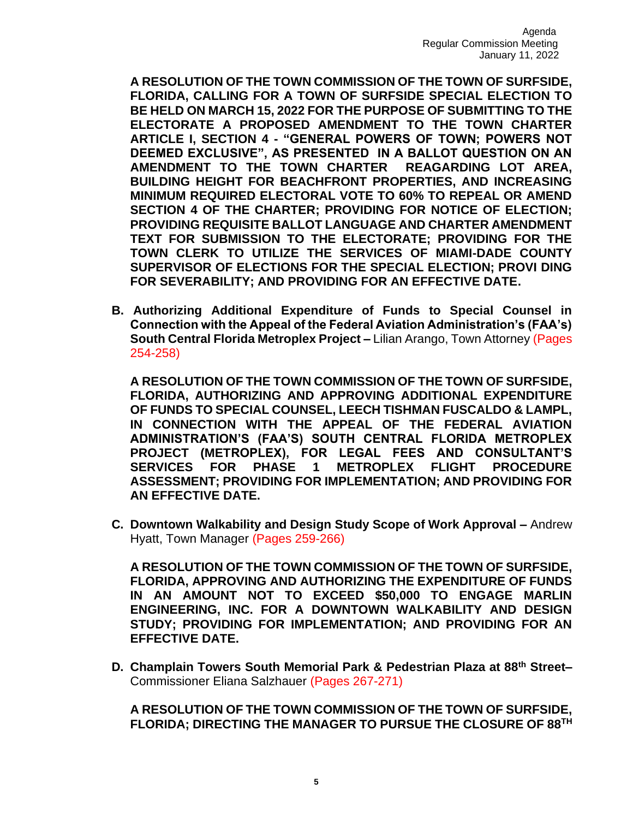**A RESOLUTION OF THE TOWN COMMISSION OF THE TOWN OF SURFSIDE, FLORIDA, CALLING FOR A TOWN OF SURFSIDE SPECIAL ELECTION TO BE HELD ON MARCH 15, 2022 FOR THE PURPOSE OF SUBMITTING TO THE ELECTORATE A PROPOSED AMENDMENT TO THE TOWN CHARTER ARTICLE I, SECTION 4 - "GENERAL POWERS OF TOWN; POWERS NOT DEEMED EXCLUSIVE", AS PRESENTED IN A BALLOT QUESTION ON AN AMENDMENT TO THE TOWN CHARTER REAGARDING LOT AREA, BUILDING HEIGHT FOR BEACHFRONT PROPERTIES, AND INCREASING MINIMUM REQUIRED ELECTORAL VOTE TO 60% TO REPEAL OR AMEND SECTION 4 OF THE CHARTER; PROVIDING FOR NOTICE OF ELECTION; PROVIDING REQUISITE BALLOT LANGUAGE AND CHARTER AMENDMENT TEXT FOR SUBMISSION TO THE ELECTORATE; PROVIDING FOR THE TOWN CLERK TO UTILIZE THE SERVICES OF MIAMI-DADE COUNTY SUPERVISOR OF ELECTIONS FOR THE SPECIAL ELECTION; PROVI DING FOR SEVERABILITY; AND PROVIDING FOR AN EFFECTIVE DATE.**

**B. Authorizing Additional Expenditure of Funds to Special Counsel in Connection with the Appeal of the Federal Aviation Administration's (FAA's) South Central Florida Metroplex Project –** Lilian Arango, Town Attorney (Pages 254-258)

**A RESOLUTION OF THE TOWN COMMISSION OF THE TOWN OF SURFSIDE, FLORIDA, AUTHORIZING AND APPROVING ADDITIONAL EXPENDITURE OF FUNDS TO SPECIAL COUNSEL, LEECH TISHMAN FUSCALDO & LAMPL, IN CONNECTION WITH THE APPEAL OF THE FEDERAL AVIATION ADMINISTRATION'S (FAA'S) SOUTH CENTRAL FLORIDA METROPLEX PROJECT (METROPLEX), FOR LEGAL FEES AND CONSULTANT'S SERVICES FOR PHASE 1 METROPLEX FLIGHT PROCEDURE ASSESSMENT; PROVIDING FOR IMPLEMENTATION; AND PROVIDING FOR AN EFFECTIVE DATE.**

**C. Downtown Walkability and Design Study Scope of Work Approval –** Andrew Hyatt, Town Manager (Pages 259-266)

**A RESOLUTION OF THE TOWN COMMISSION OF THE TOWN OF SURFSIDE, FLORIDA, APPROVING AND AUTHORIZING THE EXPENDITURE OF FUNDS IN AN AMOUNT NOT TO EXCEED \$50,000 TO ENGAGE MARLIN ENGINEERING, INC. FOR A DOWNTOWN WALKABILITY AND DESIGN STUDY; PROVIDING FOR IMPLEMENTATION; AND PROVIDING FOR AN EFFECTIVE DATE.**

**D. Champlain Towers South Memorial Park & Pedestrian Plaza at 88th Street–** Commissioner Eliana Salzhauer (Pages 267-271)

**A RESOLUTION OF THE TOWN COMMISSION OF THE TOWN OF SURFSIDE, FLORIDA; DIRECTING THE MANAGER TO PURSUE THE CLOSURE OF 88TH**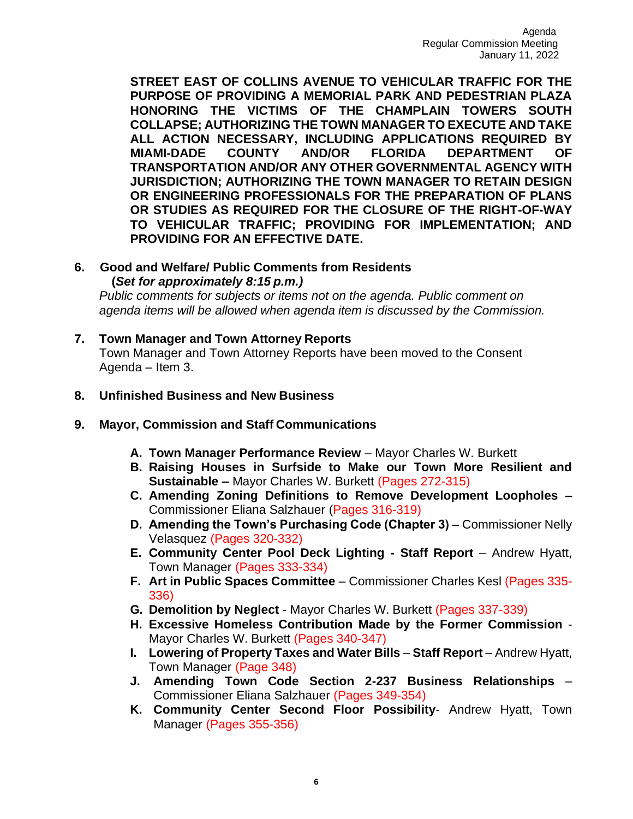**STREET EAST OF COLLINS AVENUE TO VEHICULAR TRAFFIC FOR THE PURPOSE OF PROVIDING A MEMORIAL PARK AND PEDESTRIAN PLAZA HONORING THE VICTIMS OF THE CHAMPLAIN TOWERS SOUTH COLLAPSE; AUTHORIZING THE TOWN MANAGER TO EXECUTE AND TAKE ALL ACTION NECESSARY, INCLUDING APPLICATIONS REQUIRED BY MIAMI-DADE COUNTY AND/OR FLORIDA DEPARTMENT OF TRANSPORTATION AND/OR ANY OTHER GOVERNMENTAL AGENCY WITH JURISDICTION; AUTHORIZING THE TOWN MANAGER TO RETAIN DESIGN OR ENGINEERING PROFESSIONALS FOR THE PREPARATION OF PLANS OR STUDIES AS REQUIRED FOR THE CLOSURE OF THE RIGHT-OF-WAY TO VEHICULAR TRAFFIC; PROVIDING FOR IMPLEMENTATION; AND PROVIDING FOR AN EFFECTIVE DATE.**

## **6. Good and Welfare/ Public Comments from Residents (***Set for approximately 8:15 p.m.)*

*Public comments for subjects or items not on the agenda. Public comment on agenda items will be allowed when agenda item is discussed by the Commission.*

## **7. Town Manager and Town Attorney Reports**

Town Manager and Town Attorney Reports have been moved to the Consent Agenda – Item 3.

- **8. Unfinished Business and New Business**
- **9. Mayor, Commission and Staff Communications**
	- **A. Town Manager Performance Review** Mayor Charles W. Burkett
	- **B. Raising Houses in Surfside to Make our Town More Resilient and Sustainable –** Mayor Charles W. Burkett (Pages 272-315)
	- **C. Amending Zoning Definitions to Remove Development Loopholes –** Commissioner Eliana Salzhauer (Pages 316-319)
	- **D. Amending the Town's Purchasing Code (Chapter 3) Commissioner Nelly** Velasquez (Pages 320-332)
	- **E. Community Center Pool Deck Lighting - Staff Report**  Andrew Hyatt, Town Manager (Pages 333-334)
	- **F. Art in Public Spaces Committee**  Commissioner Charles Kesl (Pages 335- 336)
	- **G. Demolition by Neglect**  Mayor Charles W. Burkett (Pages 337-339)
	- **H. Excessive Homeless Contribution Made by the Former Commission**  Mayor Charles W. Burkett (Pages 340-347)
	- **I.** Lowering of Property Taxes and Water Bills Staff Report Andrew Hyatt, Town Manager (Page 348)
	- **J. Amending Town Code Section 2-237 Business Relationships**  Commissioner Eliana Salzhauer (Pages 349-354)
	- **K. Community Center Second Floor Possibility** Andrew Hyatt, Town Manager (Pages 355-356)